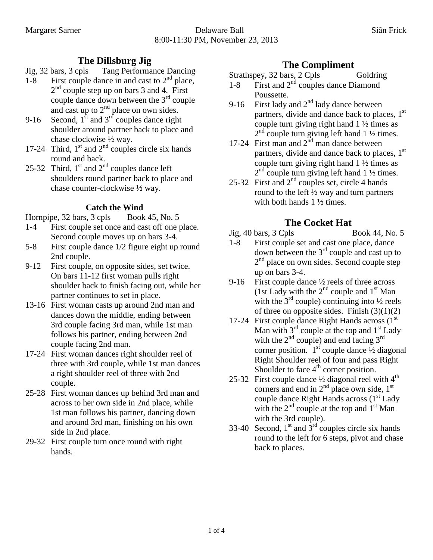- **The Dillsburg Jig**<br>Jig. 32 bars. 3 cpls Tang Performa Tang Performance Dancing
- $1-8$  First couple dance in and cast to  $2<sup>nd</sup>$  place, 2<sup>nd</sup> couple step up on bars 3 and 4. First couple dance down between the  $3<sup>rd</sup>$  couple and cast up to  $2<sup>nd</sup>$  place on own sides.
- 9-16 Second,  $1^{\text{st}}$  and  $3^{\text{rd}}$  couples dance right shoulder around partner back to place and chase clockwise ½ way.
- 17-24 Third,  $1<sup>st</sup>$  and  $2<sup>nd</sup>$  couples circle six hands round and back.
- 25-32 Third,  $1<sup>st</sup>$  and  $2<sup>nd</sup>$  couples dance left shoulders round partner back to place and chase counter-clockwise ½ way.

#### **Catch the Wind**

- Hornpipe, 32 bars, 3 cpls Book 45, No. 5
- 1-4 First couple set once and cast off one place. Second couple moves up on bars 3-4.
- 5-8 First couple dance 1/2 figure eight up round 2nd couple.
- 9-12 First couple, on opposite sides, set twice. On bars 11-12 first woman pulls right shoulder back to finish facing out, while her partner continues to set in place.
- 13-16 First woman casts up around 2nd man and dances down the middle, ending between 3rd couple facing 3rd man, while 1st man follows his partner, ending between 2nd couple facing 2nd man.
- 17-24 First woman dances right shoulder reel of three with 3rd couple, while 1st man dances a right shoulder reel of three with 2nd couple.
- 25-28 First woman dances up behind 3rd man and across to her own side in 2nd place, while 1st man follows his partner, dancing down and around 3rd man, finishing on his own side in 2nd place.
- 29-32 First couple turn once round with right hands.

# **The Compliment**

Strathspey, 32 bars, 2 Cpls Goldring

- 1-8 First and  $2<sup>nd</sup>$  couples dance Diamond Poussette.
- 9-16 First lady and  $2<sup>nd</sup>$  lady dance between partners, divide and dance back to places, 1<sup>st</sup> couple turn giving right hand 1 ½ times as  $2<sup>nd</sup>$  couple turn giving left hand 1  $\frac{1}{2}$  times.
- 17-24 First man and  $2<sup>nd</sup>$  man dance between partners, divide and dance back to places,  $1<sup>st</sup>$ couple turn giving right hand 1 ½ times as  $2<sup>nd</sup>$  couple turn giving left hand 1 ½ times.
- 25-32 First and  $2<sup>nd</sup>$  couples set, circle 4 hands round to the left  $\frac{1}{2}$  way and turn partners with both hands 1 ½ times.

# **The Cocket Hat**

Jig, 40 bars, 3 Cpls Book 44, No. 5

- 1-8 First couple set and cast one place, dance down between the  $3<sup>rd</sup>$  couple and cast up to 2<sup>nd</sup> place on own sides. Second couple step up on bars 3-4.
- 9-16 First couple dance  $\frac{1}{2}$  reels of three across (1st Lady with the  $2<sup>nd</sup>$  couple and  $1<sup>st</sup>$  Man with the  $3<sup>rd</sup>$  couple) continuing into  $\frac{1}{2}$  reels of three on opposite sides. Finish  $(3)(1)(2)$
- 17-24 First couple dance Right Hands across  $(1<sup>st</sup>$ Man with  $3^{rd}$  couple at the top and  $1^{st}$  Lady with the  $2^{nd}$  couple) and end facing  $3^{rd}$ corner position.  $1<sup>st</sup>$  couple dance  $\frac{1}{2}$  diagonal Right Shoulder reel of four and pass Right Shoulder to face  $4<sup>th</sup>$  corner position.
- 25-32 First couple dance  $\frac{1}{2}$  diagonal reel with  $4^{\text{th}}$ corners and end in  $2<sup>nd</sup>$  place own side,  $1<sup>st</sup>$ couple dance Right Hands across  $(1<sup>st</sup>$  Lady with the  $2^{nd}$  couple at the top and  $1^{st}$  Man with the 3rd couple).
- 33-40 Second,  $1<sup>st</sup>$  and  $3<sup>rd</sup>$  couples circle six hands round to the left for 6 steps, pivot and chase back to places.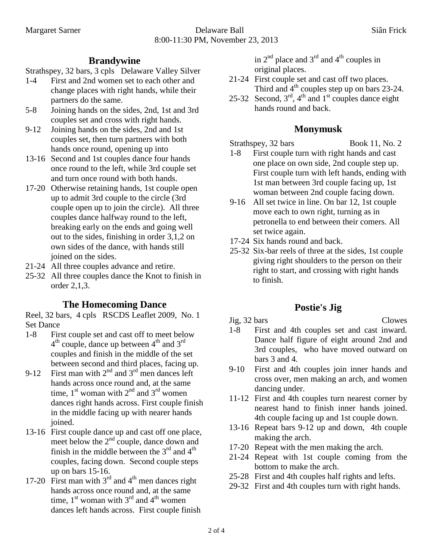#### **Brandywine**

Strathspey, 32 bars, 3 cpls Delaware Valley Silver

- 1-4 First and 2nd women set to each other and change places with right hands, while their partners do the same.
- 5-8 Joining hands on the sides, 2nd, 1st and 3rd couples set and cross with right hands.
- 9-12 Joining hands on the sides, 2nd and 1st couples set, then turn partners with both hands once round, opening up into
- 13-16 Second and 1st couples dance four hands once round to the left, while 3rd couple set and turn once round with both hands.
- 17-20 Otherwise retaining hands, 1st couple open up to admit 3rd couple to the circle (3rd couple open up to join the circle). All three couples dance halfway round to the left, breaking early on the ends and going well out to the sides, finishing in order 3,1,2 on own sides of the dance, with hands still joined on the sides.
- 21-24 All three couples advance and retire.
- 25-32 All three couples dance the Knot to finish in order 2,1,3.

#### **The Homecoming Dance**

Reel, 32 bars, 4 cpls RSCDS Leaflet 2009, No. 1 Set Dance

- 1-8 First couple set and cast off to meet below  $4<sup>th</sup>$  couple, dance up between  $4<sup>th</sup>$  and  $3<sup>rd</sup>$ couples and finish in the middle of the set between second and third places, facing up.
- 9-12 First man with  $2<sup>nd</sup>$  and  $3<sup>rd</sup>$  men dances left hands across once round and, at the same time,  $1<sup>st</sup>$  woman with  $2<sup>nd</sup>$  and  $3<sup>rd</sup>$  women dances right hands across. First couple finish in the middle facing up with nearer hands joined.
- 13-16 First couple dance up and cast off one place, meet below the  $2<sup>nd</sup>$  couple, dance down and finish in the middle between the  $3<sup>rd</sup>$  and  $4<sup>th</sup>$ couples, facing down. Second couple steps up on bars 15-16.
- 17-20 First man with  $3<sup>rd</sup>$  and  $4<sup>th</sup>$  men dances right hands across once round and, at the same time,  $1<sup>st</sup>$  woman with  $3<sup>rd</sup>$  and  $4<sup>th</sup>$  women dances left hands across. First couple finish

in  $2<sup>nd</sup>$  place and  $3<sup>rd</sup>$  and  $4<sup>th</sup>$  couples in original places.

- 21-24 First couple set and cast off two places. Third and  $4<sup>th</sup>$  couples step up on bars 23-24.
- 25-32 Second,  $3<sup>rd</sup>$ ,  $4<sup>th</sup>$  and  $1<sup>st</sup>$  couples dance eight hands round and back.

#### **Monymusk**

Strathspey, 32 bars Book 11, No. 2

- 1-8 First couple turn with right hands and cast one place on own side, 2nd couple step up. First couple turn with left hands, ending with 1st man between 3rd couple facing up, 1st woman between 2nd couple facing down.
- 9-16 All set twice in line. On bar 12, 1st couple move each to own right, turning as in petronella to end between their comers. All set twice again.
- 17-24 Six hands round and back.
- 25-32 Six-bar reels of three at the sides, 1st couple giving right shoulders to the person on their right to start, and crossing with right hands to finish.

# **Postie's Jig**

#### Jig, 32 bars Clowes

- 
- 1-8 First and 4th couples set and cast inward. Dance half figure of eight around 2nd and 3rd couples, who have moved outward on bars 3 and 4.
- 9-10 First and 4th couples join inner hands and cross over, men making an arch, and women dancing under.
- 11-12 First and 4th couples turn nearest corner by nearest hand to finish inner hands joined. 4th couple facing up and 1st couple down.
- 13-16 Repeat bars 9-12 up and down, 4th couple making the arch.
- 17-20 Repeat with the men making the arch.
- 21-24 Repeat with 1st couple coming from the bottom to make the arch.
- 25-28 First and 4th couples half rights and lefts.
- 29-32 First and 4th couples turn with right hands.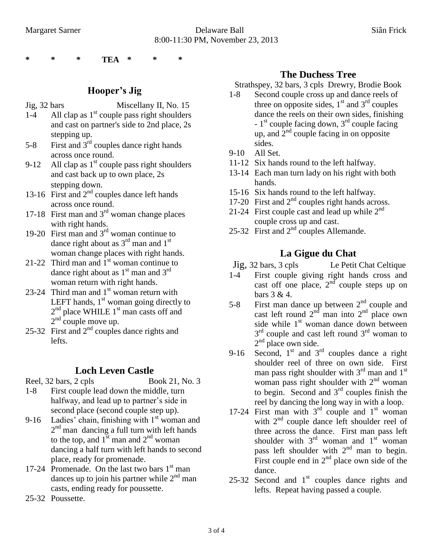**\* \* \* TEA \* \* \***

### **Hooper's Jig**

Jig, 32 bars Miscellany II, No. 15

- 1-4 All clap as  $1<sup>st</sup>$  couple pass right shoulders and cast on partner's side to 2nd place, 2s stepping up.
- 5-8 First and  $3<sup>rd</sup>$  couples dance right hands across once round.
- 9-12 All clap as  $1<sup>st</sup>$  couple pass right shoulders and cast back up to own place, 2s stepping down.
- 13-16 First and  $2<sup>nd</sup>$  couples dance left hands across once round.
- 17-18 First man and  $3<sup>rd</sup>$  woman change places with right hands.
- 19-20 First man and  $3<sup>rd</sup>$  woman continue to dance right about as  $3<sup>rd</sup>$  man and  $1<sup>st</sup>$ woman change places with right hands.
- 21-22 Third man and  $1<sup>st</sup>$  woman continue to dance right about as  $1<sup>st</sup>$  man and  $3<sup>rd</sup>$ woman return with right hands.
- 23-24 Third man and  $1<sup>st</sup>$  woman return with LEFT hands,  $1<sup>st</sup>$  woman going directly to  $2<sup>nd</sup>$  place WHILE  $1<sup>st</sup>$  man casts off and  $2<sup>nd</sup>$  couple move up.
- 25-32 First and  $2<sup>nd</sup>$  couples dance rights and lefts.

# **Loch Leven Castle**

- Reel, 32 bars, 2 cpls Book 21, No. 3
- 1-8 First couple lead down the middle, turn halfway, and lead up to partner's side in second place (second couple step up).
- 9-16 Ladies' chain, finishing with  $1<sup>st</sup>$  woman and 2<sup>nd</sup> man dancing a full turn with left hands to the top, and  $1^{\text{st}}$  man and  $2^{\text{nd}}$  woman dancing a half turn with left hands to second place, ready for promenade.
- 17-24 Promenade. On the last two bars  $1<sup>st</sup>$  man dances up to join his partner while  $2<sup>nd</sup>$  man casts, ending ready for poussette.
- 25-32 Poussette.

#### **The Duchess Tree**

Strathspey, 32 bars, 3 cpls Drewry, Brodie Book

- 1-8 Second couple cross up and dance reels of three on opposite sides,  $1<sup>st</sup>$  and  $3<sup>rd</sup>$  couples dance the reels on their own sides, finishing  $-1<sup>st</sup>$  couple facing down,  $3<sup>rd</sup>$  couple facing up, and  $2<sup>nd</sup>$  couple facing in on opposite sides.
- 9-10 All Set.
- 11-12 Six hands round to the left halfway.
- 13-14 Each man turn lady on his right with both hands.
- 15-16 Six hands round to the left halfway.
- 17-20 First and  $2<sup>nd</sup>$  couples right hands across.
- 21-24 First couple cast and lead up while  $2<sup>nd</sup>$ couple cross up and cast.
- 25-32 First and  $2^{nd}$  couples Allemande.

# **La Gigue du Chat**

- Jig, 32 bars, 3 cpls Le Petit Chat Celtique
- 1-4 First couple giving right hands cross and cast off one place,  $2<sup>nd</sup>$  couple steps up on bars 3 & 4.
- 5-8 First man dance up between  $2<sup>nd</sup>$  couple and cast left round  $2^{nd}$  man into  $2^{nd}$  place own side while  $1<sup>st</sup>$  woman dance down between 3<sup>rd</sup> couple and cast left round 3<sup>rd</sup> woman to  $2<sup>nd</sup>$  place own side.
- 9-16 Second,  $1<sup>st</sup>$  and  $3<sup>rd</sup>$  couples dance a right shoulder reel of three on own side. First man pass right shoulder with  $3<sup>rd</sup>$  man and  $1<sup>st</sup>$ woman pass right shoulder with  $2<sup>nd</sup>$  woman to begin. Second and  $3<sup>rd</sup>$  couples finish the reel by dancing the long way in with a loop.
- 17-24 First man with  $3<sup>rd</sup>$  couple and  $1<sup>st</sup>$  woman with  $2<sup>nd</sup>$  couple dance left shoulder reel of three across the dance. First man pass left shoulder with  $3<sup>rd</sup>$  woman and  $1<sup>st</sup>$  woman pass left shoulder with 2<sup>nd</sup> man to begin. First couple end in  $2<sup>nd</sup>$  place own side of the dance.
- 25-32 Second and  $1<sup>st</sup>$  couples dance rights and lefts. Repeat having passed a couple.